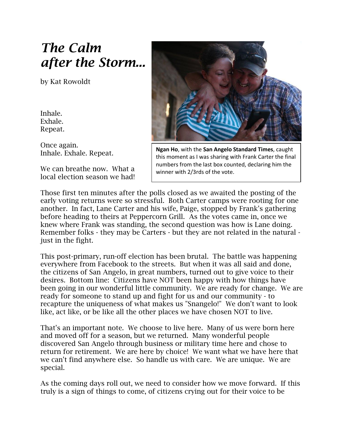# *The Calm after the Storm...*

by Kat Rowoldt

Inhale. Exhale. Repeat.

Once again. Inhale. Exhale. Repeat.

We can breathe now. What a local election season we had!



**Ngan Ho**, with the **San Angelo Standard Times**, caught this moment as I was sharing with Frank Carter the final numbers from the last box counted, declaring him the winner with 2/3rds of the vote.

Those first ten minutes after the polls closed as we awaited the posting of the early voting returns were so stressful. Both Carter camps were rooting for one another. In fact, Lane Carter and his wife, Paige, stopped by Frank's gathering before heading to theirs at Peppercorn Grill. As the votes came in, once we knew where Frank was standing, the second question was how is Lane doing. Remember folks - they may be Carters - but they are not related in the natural just in the fight.

This post-primary, run-off election has been brutal. The battle was happening everywhere from Facebook to the streets. But when it was all said and done, the citizens of San Angelo, in great numbers, turned out to give voice to their desires. Bottom line: Citizens have NOT been happy with how things have been going in our wonderful little community. We are ready for change. We are ready for someone to stand up and fight for us and our community - to recapture the uniqueness of what makes us "Snangelo!" We don't want to look like, act like, or be like all the other places we have chosen NOT to live.

That's an important note. We choose to live here. Many of us were born here and moved off for a season, but we returned. Many wonderful people discovered San Angelo through business or military time here and chose to return for retirement. We are here by choice! We want what we have here that we can't find anywhere else. So handle us with care. We are unique. We are special.

As the coming days roll out, we need to consider how we move forward. If this truly is a sign of things to come, of citizens crying out for their voice to be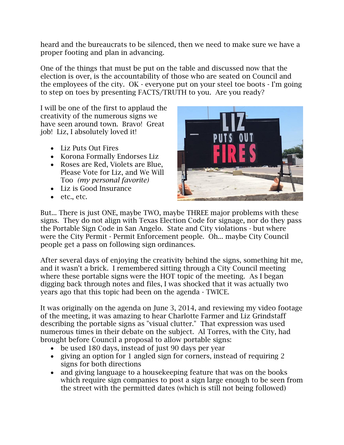heard and the bureaucrats to be silenced, then we need to make sure we have a proper footing and plan in advancing.

One of the things that must be put on the table and discussed now that the election is over, is the accountability of those who are seated on Council and the employees of the city. OK - everyone put on your steel toe boots - I'm going to step on toes by presenting FACTS/TRUTH to you. Are you ready?

I will be one of the first to applaud the creativity of the numerous signs we have seen around town. Bravo! Great job! Liz, I absolutely loved it!

- Liz Puts Out Fires
- Korona Formally Endorses Liz
- Roses are Red. Violets are Blue. Please Vote for Liz, and We Will Too *(my personal favorite)*
- Liz is Good Insurance
- $e$  etc., etc.



But... There is just ONE, maybe TWO, maybe THREE major problems with these signs. They do not align with Texas Election Code for signage, nor do they pass the Portable Sign Code in San Angelo. State and City violations - but where were the City Permit - Permit Enforcement people. Oh... maybe City Council people get a pass on following sign ordinances.

After several days of enjoying the creativity behind the signs, something hit me, and it wasn't a brick. I remembered sitting through a City Council meeting where these portable signs were the HOT topic of the meeting. As I began digging back through notes and files, I was shocked that it was actually two years ago that this topic had been on the agenda - TWICE.

It was originally on the agenda on June 3, 2014, and reviewing my video footage of the meeting, it was amazing to hear Charlotte Farmer and Liz Grindstaff describing the portable signs as "visual clutter." That expression was used numerous times in their debate on the subject. Al Torres, with the City, had brought before Council a proposal to allow portable signs:

- be used 180 days, instead of just 90 days per year
- giving an option for 1 angled sign for corners, instead of requiring 2 signs for both directions
- and giving language to a housekeeping feature that was on the books which require sign companies to post a sign large enough to be seen from the street with the permitted dates (which is still not being followed)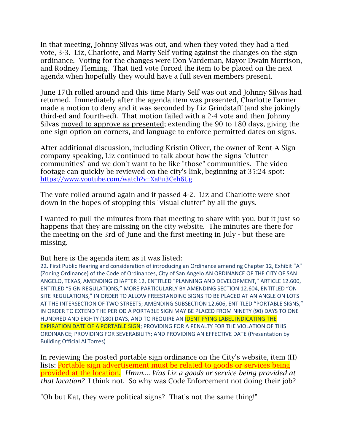In that meeting, Johnny Silvas was out, and when they voted they had a tied vote, 3-3. Liz, Charlotte, and Marty Self voting against the changes on the sign ordinance. Voting for the changes were Don Vardeman, Mayor Dwain Morrison, and Rodney Fleming. That tied vote forced the item to be placed on the next agenda when hopefully they would have a full seven members present.

June 17th rolled around and this time Marty Self was out and Johnny Silvas had returned. Immediately after the agenda item was presented, Charlotte Farmer made a motion to deny and it was seconded by Liz Grindstaff (and she jokingly third-ed and fourth-ed). That motion failed with a 2-4 vote and then Johnny Silvas moved to approve as presented; extending the 90 to 180 days, giving the one sign option on corners, and language to enforce permitted dates on signs.

After additional discussion, including Kristin Oliver, the owner of Rent-A-Sign company speaking, Liz continued to talk about how the signs "clutter communities" and we don't want to be like "those" communities. The video footage can quickly be reviewed on the city's link, beginning at 35:24 spot: <https://www.youtube.com/watch?v=XaEu3Ceh6Ug>

The vote rolled around again and it passed 4-2. Liz and Charlotte were shot down in the hopes of stopping this "visual clutter" by all the guys.

I wanted to pull the minutes from that meeting to share with you, but it just so happens that they are missing on the city website. The minutes are there for the meeting on the 3rd of June and the first meeting in July - but these are missing.

But here is the agenda item as it was listed:

22. First Public Hearing and consideration of introducing an Ordinance amending Chapter 12, Exhibit "A" (Zoning Ordinance) of the Code of Ordinances, City of San Angelo AN ORDINANCE OF THE CITY OF SAN ANGELO, TEXAS, AMENDING CHAPTER 12, ENTITLED "PLANNING AND DEVELOPMENT," ARTICLE 12.600, ENTITLED "SIGN REGULATIONS," MORE PARTICULARLY BY AMENDING SECTION 12.604, ENTITLED "ON-SITE REGULATIONS," IN ORDER TO ALLOW FREESTANDING SIGNS TO BE PLACED AT AN ANGLE ON LOTS AT THE INTERSECTION OF TWO STREETS; AMENDING SUBSECTION 12.606, ENTITLED "PORTABLE SIGNS," IN ORDER TO EXTEND THE PERIOD A PORTABLE SIGN MAY BE PLACED FROM NINETY (90) DAYS TO ONE HUNDRED AND EIGHTY (180) DAYS, AND TO REQUIRE AN IDENTIFYING LABEL INDICATING THE EXPIRATION DATE OF A PORTABLE SIGN; PROVIDING FOR A PENALTY FOR THE VIOLATION OF THIS ORDINANCE; PROVIDING FOR SEVERABILITY; AND PROVIDING AN EFFECTIVE DATE (Presentation by Building Official Al Torres)

In reviewing the posted portable sign ordinance on the City's website, item (H) lists: Portable sign advertisement must be related to goods or services being provided at the location. *Hmm.... Was Liz a goods or service being provided at that location?* I think not. So why was Code Enforcement not doing their job?

"Oh but Kat, they were political signs? That's not the same thing!"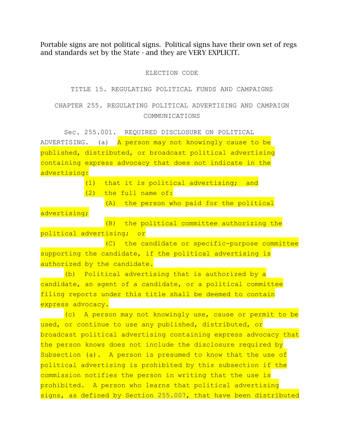Portable signs are not political signs. Political signs have their own set of regs and standards set by the State - and they are VERY EXPLICIT.

#### ELECTION CODE

#### TITLE 15. REGULATING POLITICAL FUNDS AND CAMPAIGNS

## CHAPTER 255. REGULATING POLITICAL ADVERTISING AND CAMPAIGN COMMUNICATIONS

Sec. 255.001. REQUIRED DISCLOSURE ON POLITICAL ADVERTISING. (a) A person may not knowingly cause to be published, distributed, or broadcast political advertising containing express advocacy that does not indicate in the advertising:

(1) that it is political advertising; and

(2) the full name of:

(A) the person who paid for the political

advertising;

(B) the political committee authorizing the political advertising; or

(C) the candidate or specific-purpose committee supporting the candidate, if the political advertising is authorized by the candidate.

(b) Political advertising that is authorized by a candidate, an agent of a candidate, or a political committee filing reports under this title shall be deemed to contain express advocacy.

(c) A person may not knowingly use, cause or permit to be used, or continue to use any published, distributed, or broadcast political advertising containing express advocacy that the person knows does not include the disclosure required by Subsection (a). A person is presumed to know that the use of political advertising is prohibited by this subsection if the commission notifies the person in writing that the use is prohibited. A person who learns that political advertising signs, as defined by Section [255.007,](http://www.statutes.legis.state.tx.us/GetStatute.aspx?Code=EL&Value=255.007) that have been distributed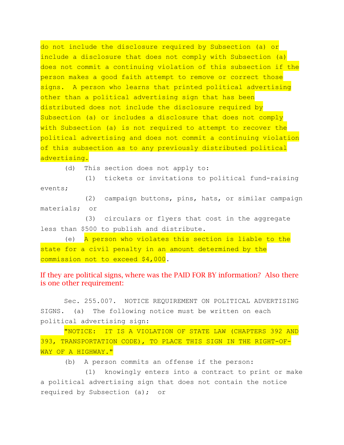do not include the disclosure required by Subsection (a) or include a disclosure that does not comply with Subsection (a) does not commit a continuing violation of this subsection if the person makes a good faith attempt to remove or correct those signs. A person who learns that printed political advertising other than a political advertising sign that has been distributed does not include the disclosure required by Subsection (a) or includes a disclosure that does not comply with Subsection (a) is not required to attempt to recover the political advertising and does not commit a continuing violation of this subsection as to any previously distributed political advertising.

(d) This section does not apply to:

(1) tickets or invitations to political fund-raising events;

(2) campaign buttons, pins, hats, or similar campaign materials; or

(3) circulars or flyers that cost in the aggregate less than \$500 to publish and distribute.

(e) A person who violates this section is liable to the state for a civil penalty in an amount determined by the commission not to exceed \$4,000.

## If they are political signs, where was the PAID FOR BY information? Also there is one other requirement:

Sec. 255.007. NOTICE REQUIREMENT ON POLITICAL ADVERTISING SIGNS. (a) The following notice must be written on each political advertising sign:

"NOTICE: IT IS A VIOLATION OF STATE LAW (CHAPTERS 392 AND 393, TRANSPORTATION CODE), TO PLACE THIS SIGN IN THE RIGHT-OF-WAY OF A HIGHWAY."

(b) A person commits an offense if the person:

(1) knowingly enters into a contract to print or make a political advertising sign that does not contain the notice required by Subsection (a); or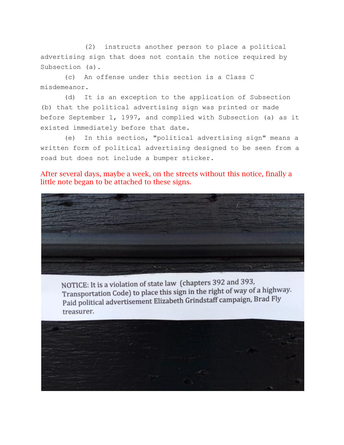(2) instructs another person to place a political advertising sign that does not contain the notice required by Subsection (a).

(c) An offense under this section is a Class C misdemeanor.

(d) It is an exception to the application of Subsection (b) that the political advertising sign was printed or made before September 1, 1997, and complied with Subsection (a) as it existed immediately before that date.

(e) In this section, "political advertising sign" means a written form of political advertising designed to be seen from a road but does not include a bumper sticker.

After several days, maybe a week, on the streets without this notice, finally a little note began to be attached to these signs.



NOTICE: It is a violation of state law (chapters 392 and 393, Transportation Code) to place this sign in the right of way of a highway. Paid political advertisement Elizabeth Grindstaff campaign, Brad Fly treasurer.

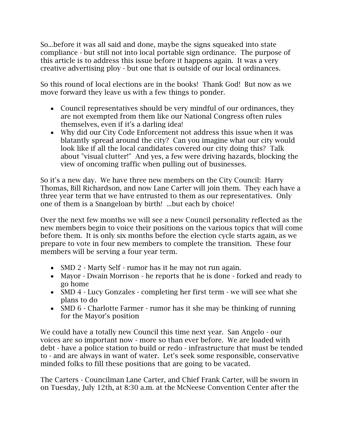So...before it was all said and done, maybe the signs squeaked into state compliance - but still not into local portable sign ordinance. The purpose of this article is to address this issue before it happens again. It was a very creative advertising ploy - but one that is outside of our local ordinances.

So this round of local elections are in the books! Thank God! But now as we move forward they leave us with a few things to ponder.

- Council representatives should be very mindful of our ordinances, they are not exempted from them like our National Congress often rules themselves, even if it's a darling idea!
- Why did our City Code Enforcement not address this issue when it was blatantly spread around the city? Can you imagine what our city would look like if all the local candidates covered our city doing this? Talk about "visual clutter!" And yes, a few were driving hazards, blocking the view of oncoming traffic when pulling out of businesses.

So it's a new day. We have three new members on the City Council: Harry Thomas, Bill Richardson, and now Lane Carter will join them. They each have a three year term that we have entrusted to them as our representatives. Only one of them is a Snangeloan by birth! ...but each by choice!

Over the next few months we will see a new Council personality reflected as the new members begin to voice their positions on the various topics that will come before them. It is only six months before the election cycle starts again, as we prepare to vote in four new members to complete the transition. These four members will be serving a four year term.

- SMD 2 Marty Self rumor has it he may not run again.
- Mayor Dwain Morrison he reports that he is done forked and ready to go home
- SMD 4 Lucy Gonzales completing her first term we will see what she plans to do
- SMD 6 Charlotte Farmer rumor has it she may be thinking of running for the Mayor's position

We could have a totally new Council this time next year. San Angelo - our voices are so important now - more so than ever before. We are loaded with debt - have a police station to build or redo - infrastructure that must be tended to - and are always in want of water. Let's seek some responsible, conservative minded folks to fill these positions that are going to be vacated.

The Carters - Councilman Lane Carter, and Chief Frank Carter, will be sworn in on Tuesday, July 12th, at 8:30 a.m. at the McNeese Convention Center after the